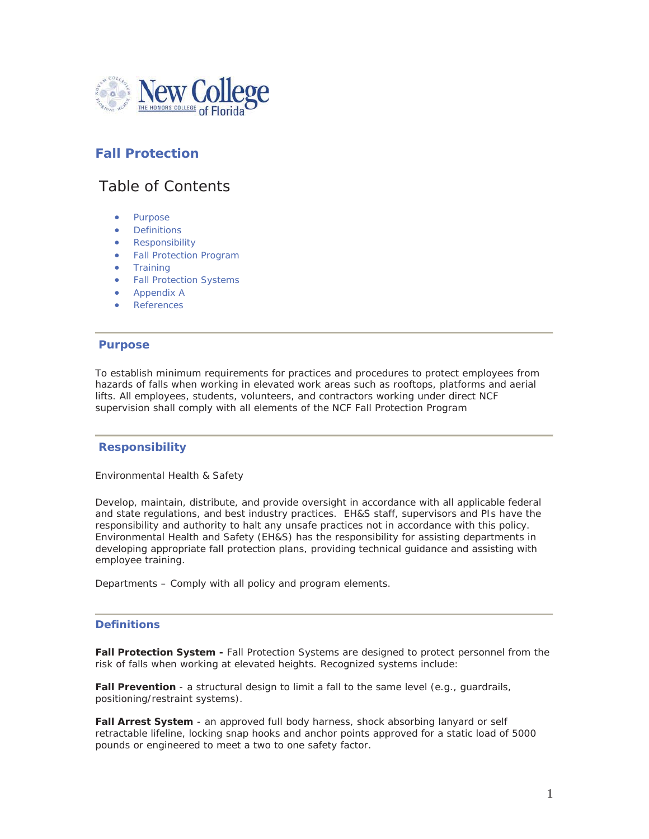

# **Fall Protection**

# Table of Contents

- Purpose
- **•** Definitions
- **Responsibility**
- Fall Protection Program
- **•** Training
- Fall Protection Systems
- Appendix A
- **References**

## **Purpose**

To establish minimum requirements for practices and procedures to protect employees from hazards of falls when working in elevated work areas such as rooftops, platforms and aerial lifts. All employees, students, volunteers, and contractors working under direct NCF supervision shall comply with all elements of the NCF Fall Protection Program

## **Responsibility**

Environmental Health & Safety

Develop, maintain, distribute, and provide oversight in accordance with all applicable federal and state regulations, and best industry practices. EH&S staff, supervisors and PIs have the responsibility and authority to halt any unsafe practices not in accordance with this policy. Environmental Health and Safety (EH&S) has the responsibility for assisting departments in developing appropriate fall protection plans, providing technical guidance and assisting with employee training.

Departments – Comply with all policy and program elements.

## **Definitions**

**Fall Protection System -** Fall Protection Systems are designed to protect personnel from the risk of falls when working at elevated heights. Recognized systems include:

**Fall Prevention** - a structural design to limit a fall to the same level (e.g., guardrails, positioning/restraint systems).

**Fall Arrest System** - an approved full body harness, shock absorbing lanyard or self retractable lifeline, locking snap hooks and anchor points approved for a static load of 5000 pounds or engineered to meet a two to one safety factor.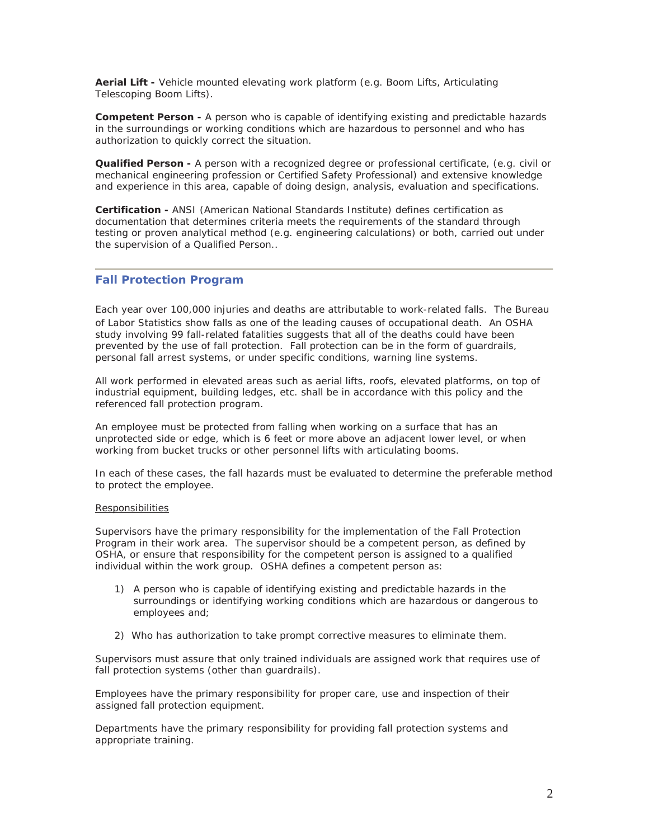**Aerial Lift -** Vehicle mounted elevating work platform (e.g. Boom Lifts, Articulating Telescoping Boom Lifts).

**Competent Person -** A person who is capable of identifying existing and predictable hazards in the surroundings or working conditions which are hazardous to personnel and who has authorization to quickly correct the situation.

**Qualified Person -** A person with a recognized degree or professional certificate, (e.g. civil or mechanical engineering profession or Certified Safety Professional) and extensive knowledge and experience in this area, capable of doing design, analysis, evaluation and specifications.

**Certification -** ANSI (American National Standards Institute) defines certification as documentation that determines criteria meets the requirements of the standard through testing or proven analytical method (e.g. engineering calculations) or both, carried out under the supervision of a Qualified Person..

## **Fall Protection Program**

 Each year over 100,000 injuries and deaths are attributable to work-related falls. The Bureau of Labor Statistics show falls as one of the leading causes of occupational death. An OSHA study involving 99 fall-related fatalities suggests that all of the deaths could have been prevented by the use of fall protection. Fall protection can be in the form of guardrails, personal fall arrest systems, or under specific conditions, warning line systems.

All work performed in elevated areas such as aerial lifts, roofs, elevated platforms, on top of industrial equipment, building ledges, etc. shall be in accordance with this policy and the referenced fall protection program.

An employee must be protected from falling when working on a surface that has an unprotected side or edge, which is 6 feet or more above an adjacent lower level, or when working from bucket trucks or other personnel lifts with articulating booms.

In each of these cases, the fall hazards must be evaluated to determine the preferable method to protect the employee.

#### **Responsibilities**

Supervisors have the primary responsibility for the implementation of the Fall Protection Program in their work area. The supervisor should be a competent person, as defined by OSHA, or ensure that responsibility for the competent person is assigned to a qualified individual within the work group. OSHA defines a competent person as:

- 1) A person who is capable of identifying existing and predictable hazards in the surroundings or identifying working conditions which are hazardous or dangerous to employees and;
- 2) Who has authorization to take prompt corrective measures to eliminate them.

Supervisors must assure that only trained individuals are assigned work that requires use of fall protection systems (other than guardrails).

Employees have the primary responsibility for proper care, use and inspection of their assigned fall protection equipment.

Departments have the primary responsibility for providing fall protection systems and appropriate training.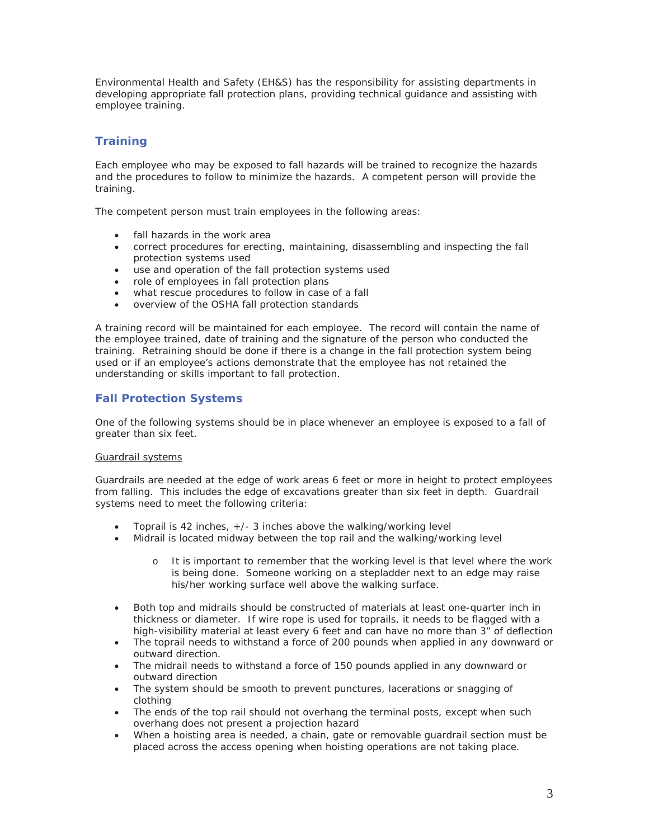Environmental Health and Safety (EH&S) has the responsibility for assisting departments in developing appropriate fall protection plans, providing technical guidance and assisting with employee training.

# **Training**

Each employee who may be exposed to fall hazards will be trained to recognize the hazards and the procedures to follow to minimize the hazards. A competent person will provide the training.

The competent person must train employees in the following areas:

- fall hazards in the work area
- correct procedures for erecting, maintaining, disassembling and inspecting the fall protection systems used
- use and operation of the fall protection systems used
- $\bullet$  role of employees in fall protection plans
- what rescue procedures to follow in case of a fall
- overview of the OSHA fall protection standards

A training record will be maintained for each employee. The record will contain the name of the employee trained, date of training and the signature of the person who conducted the training. Retraining should be done if there is a change in the fall protection system being used or if an employee's actions demonstrate that the employee has not retained the understanding or skills important to fall protection.

## **Fall Protection Systems**

One of the following systems should be in place whenever an employee is exposed to a fall of greater than six feet.

## Guardrail systems

Guardrails are needed at the edge of work areas 6 feet or more in height to protect employees from falling. This includes the edge of excavations greater than six feet in depth. Guardrail systems need to meet the following criteria:

- Toprail is 42 inches,  $+/-$  3 inches above the walking/working level
- Midrail is located midway between the top rail and the walking/working level
	- o It is important to remember that the working level is that level where the work is being done. Someone working on a stepladder next to an edge may raise his/her working surface well above the walking surface.
- Both top and midrails should be constructed of materials at least one-quarter inch in thickness or diameter. If wire rope is used for toprails, it needs to be flagged with a high-visibility material at least every 6 feet and can have no more than 3" of deflection
- The toprail needs to withstand a force of 200 pounds when applied in any downward or outward direction.
- The midrail needs to withstand a force of 150 pounds applied in any downward or outward direction
- The system should be smooth to prevent punctures, lacerations or snagging of clothing
- The ends of the top rail should not overhang the terminal posts, except when such overhang does not present a projection hazard
- When a hoisting area is needed, a chain, gate or removable guardrail section must be placed across the access opening when hoisting operations are not taking place.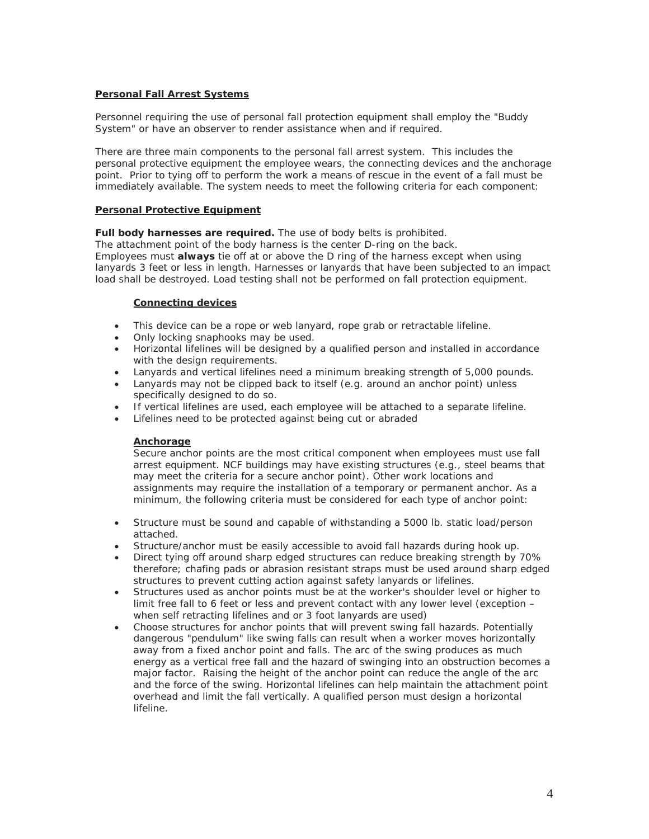## **Personal Fall Arrest Systems**

Personnel requiring the use of personal fall protection equipment shall employ the "Buddy System" or have an observer to render assistance when and if required.

There are three main components to the personal fall arrest system. This includes the personal protective equipment the employee wears, the connecting devices and the anchorage point. Prior to tying off to perform the work a means of rescue in the event of a fall must be immediately available. The system needs to meet the following criteria for each component:

#### **Personal Protective Equipment**

**Full body harnesses are required.** The use of body belts is prohibited.

The attachment point of the body harness is the center D-ring on the back. Employees must **always** tie off at or above the D ring of the harness except when using lanyards 3 feet or less in length. Harnesses or lanyards that have been subjected to an impact load shall be destroyed. Load testing shall not be performed on fall protection equipment.

## **Connecting devices**

- This device can be a rope or web lanyard, rope grab or retractable lifeline.
- Only locking snaphooks may be used.
- Horizontal lifelines will be designed by a qualified person and installed in accordance with the design requirements.
- Lanyards and vertical lifelines need a minimum breaking strength of 5,000 pounds.
- Lanyards may not be clipped back to itself (e.g. around an anchor point) unless specifically designed to do so.
- If vertical lifelines are used, each employee will be attached to a separate lifeline.
- Lifelines need to be protected against being cut or abraded

## **Anchorage**

Secure anchor points are the most critical component when employees must use fall arrest equipment. NCF buildings may have existing structures (e.g., steel beams that may meet the criteria for a secure anchor point). Other work locations and assignments may require the installation of a temporary or permanent anchor. As a minimum, the following criteria must be considered for each type of anchor point:

- Structure must be sound and capable of withstanding a 5000 lb. static load/person attached.
- Structure/anchor must be easily accessible to avoid fall hazards during hook up.
- Direct tying off around sharp edged structures can reduce breaking strength by 70% therefore; chafing pads or abrasion resistant straps must be used around sharp edged structures to prevent cutting action against safety lanyards or lifelines.
- Structures used as anchor points must be at the worker's shoulder level or higher to limit free fall to 6 feet or less and prevent contact with any lower level (exception – when self retracting lifelines and or 3 foot lanyards are used)
- Choose structures for anchor points that will prevent swing fall hazards. Potentially dangerous "pendulum" like swing falls can result when a worker moves horizontally away from a fixed anchor point and falls. The arc of the swing produces as much energy as a vertical free fall and the hazard of swinging into an obstruction becomes a major factor. Raising the height of the anchor point can reduce the angle of the arc and the force of the swing. Horizontal lifelines can help maintain the attachment point overhead and limit the fall vertically. A qualified person must design a horizontal lifeline.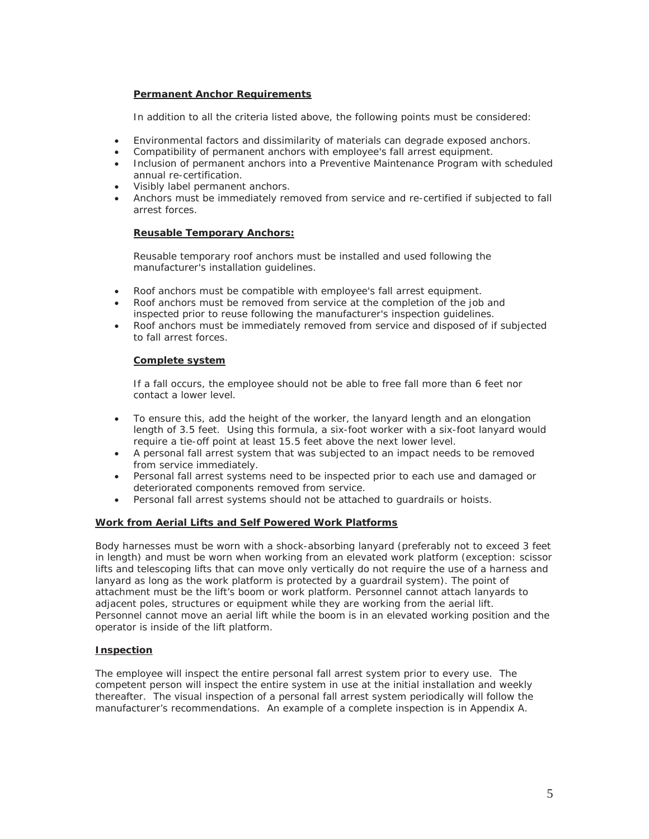## **Permanent Anchor Requirements**

In addition to all the criteria listed above, the following points must be considered:

- **Environmental factors and dissimilarity of materials can degrade exposed anchors.**
- Compatibility of permanent anchors with employee's fall arrest equipment.
- Inclusion of permanent anchors into a Preventive Maintenance Program with scheduled annual re-certification.
- Visibly label permanent anchors.
- x Anchors must be immediately removed from service and re-certified if subjected to fall arrest forces.

## **Reusable Temporary Anchors:**

Reusable temporary roof anchors must be installed and used following the manufacturer's installation guidelines.

- Roof anchors must be compatible with employee's fall arrest equipment.
- Roof anchors must be removed from service at the completion of the job and inspected prior to reuse following the manufacturer's inspection guidelines.
- Roof anchors must be immediately removed from service and disposed of if subjected to fall arrest forces.

#### **Complete system**

If a fall occurs, the employee should not be able to free fall more than 6 feet nor contact a lower level.

- To ensure this, add the height of the worker, the lanyard length and an elongation length of 3.5 feet. Using this formula, a six-foot worker with a six-foot lanyard would require a tie-off point at least 15.5 feet above the next lower level.
- A personal fall arrest system that was subjected to an impact needs to be removed from service immediately.
- Personal fall arrest systems need to be inspected prior to each use and damaged or deteriorated components removed from service.
- Personal fall arrest systems should not be attached to quardrails or hoists.

#### **Work from Aerial Lifts and Self Powered Work Platforms**

Body harnesses must be worn with a shock-absorbing lanyard (preferably not to exceed 3 feet in length) and must be worn when working from an elevated work platform (exception: scissor lifts and telescoping lifts that can move only vertically do not require the use of a harness and lanyard as long as the work platform is protected by a guardrail system). The point of attachment must be the lift's boom or work platform. Personnel cannot attach lanyards to adjacent poles, structures or equipment while they are working from the aerial lift. Personnel cannot move an aerial lift while the boom is in an elevated working position and the operator is inside of the lift platform.

## **Inspection**

The employee will inspect the entire personal fall arrest system prior to every use. The competent person will inspect the entire system in use at the initial installation and weekly thereafter. The visual inspection of a personal fall arrest system periodically will follow the manufacturer's recommendations. An example of a complete inspection is in Appendix A.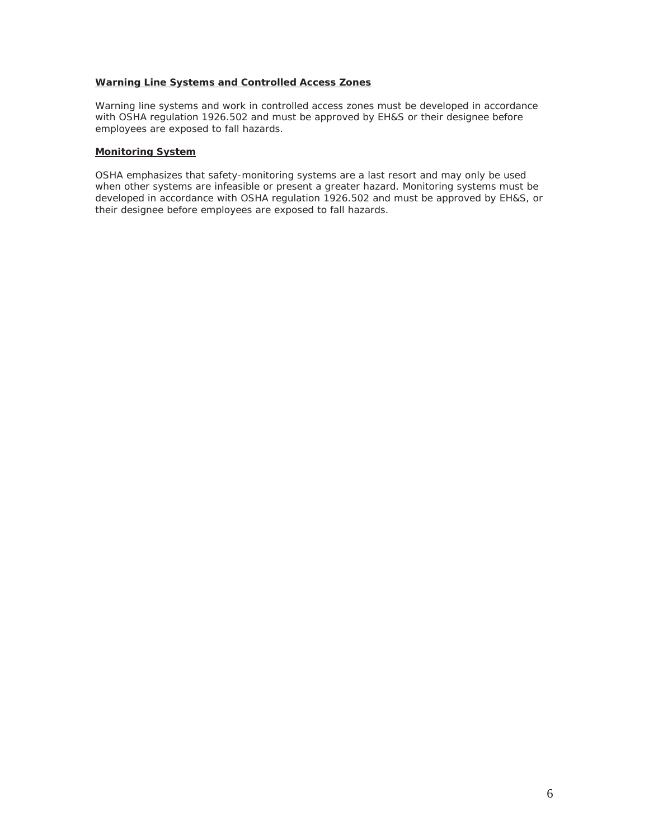## **Warning Line Systems and Controlled Access Zones**

Warning line systems and work in controlled access zones must be developed in accordance with OSHA regulation 1926.502 and must be approved by EH&S or their designee before employees are exposed to fall hazards.

## **Monitoring System**

OSHA emphasizes that safety-monitoring systems are a last resort and may only be used when other systems are infeasible or present a greater hazard. Monitoring systems must be developed in accordance with OSHA regulation 1926.502 and must be approved by EH&S, or their designee before employees are exposed to fall hazards.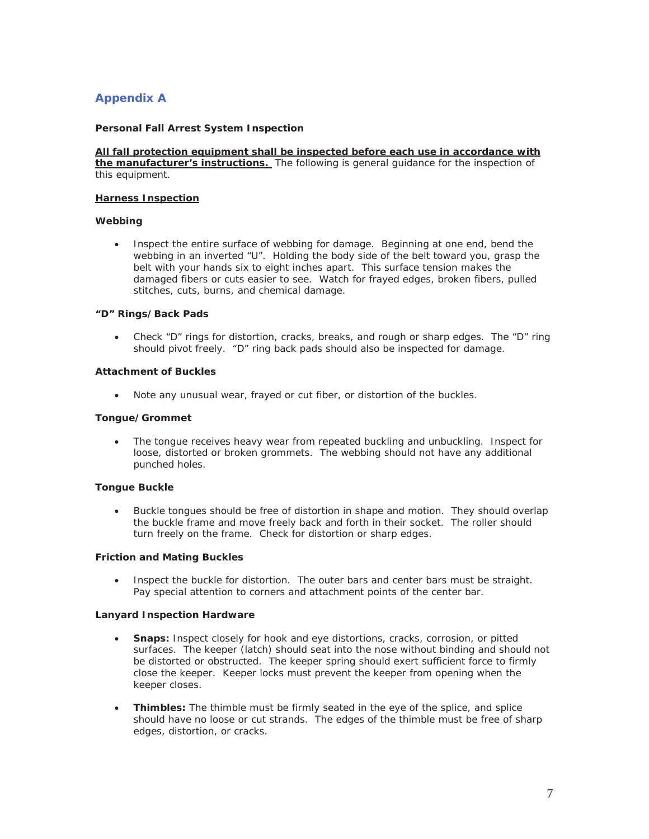# **Appendix A**

## **Personal Fall Arrest System Inspection**

**All fall protection equipment shall be inspected before each use in accordance with the manufacturer's instructions.** The following is general guidance for the inspection of this equipment.

#### **Harness Inspection**

## **Webbing**

• Inspect the entire surface of webbing for damage. Beginning at one end, bend the webbing in an inverted "U". Holding the body side of the belt toward you, grasp the belt with your hands six to eight inches apart. This surface tension makes the damaged fibers or cuts easier to see. Watch for frayed edges, broken fibers, pulled stitches, cuts, burns, and chemical damage.

#### **"D" Rings/Back Pads**

• Check "D" rings for distortion, cracks, breaks, and rough or sharp edges. The "D" ring should pivot freely. "D" ring back pads should also be inspected for damage.

#### **Attachment of Buckles**

• Note any unusual wear, frayed or cut fiber, or distortion of the buckles.

#### **Tongue/Grommet**

• The tongue receives heavy wear from repeated buckling and unbuckling. Inspect for loose, distorted or broken grommets. The webbing should not have any additional punched holes.

#### **Tongue Buckle**

• Buckle tongues should be free of distortion in shape and motion. They should overlap the buckle frame and move freely back and forth in their socket. The roller should turn freely on the frame. Check for distortion or sharp edges.

#### **Friction and Mating Buckles**

• Inspect the buckle for distortion. The outer bars and center bars must be straight. Pay special attention to corners and attachment points of the center bar.

#### **Lanyard Inspection Hardware**

- x **Snaps:** Inspect closely for hook and eye distortions, cracks, corrosion, or pitted surfaces. The keeper (latch) should seat into the nose without binding and should not be distorted or obstructed. The keeper spring should exert sufficient force to firmly close the keeper. Keeper locks must prevent the keeper from opening when the keeper closes.
- **Thimbles:** The thimble must be firmly seated in the eye of the splice, and splice should have no loose or cut strands. The edges of the thimble must be free of sharp edges, distortion, or cracks.